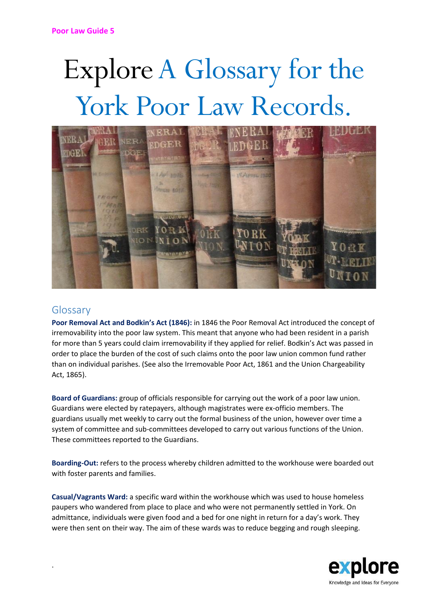# Explore A Glossary for the York Poor Law Records.



# Glossary

.

**Poor Removal Act and Bodkin's Act (1846):** in 1846 the Poor Removal Act introduced the concept of irremovability into the poor law system. This meant that anyone who had been resident in a parish for more than 5 years could claim irremovability if they applied for relief. Bodkin's Act was passed in order to place the burden of the cost of such claims onto the poor law union common fund rather than on individual parishes. (See also the Irremovable Poor Act, 1861 and the Union Chargeability Act, 1865).

**Board of Guardians:** group of officials responsible for carrying out the work of a poor law union. Guardians were elected by ratepayers, although magistrates were ex-officio members. The guardians usually met weekly to carry out the formal business of the union, however over time a system of committee and sub-committees developed to carry out various functions of the Union. These committees reported to the Guardians.

**Boarding-Out:** refers to the process whereby children admitted to the workhouse were boarded out with foster parents and families.

**Casual/Vagrants Ward:** a specific ward within the workhouse which was used to house homeless paupers who wandered from place to place and who were not permanently settled in York. On admittance, individuals were given food and a bed for one night in return for a day's work. They were then sent on their way. The aim of these wards was to reduce begging and rough sleeping.

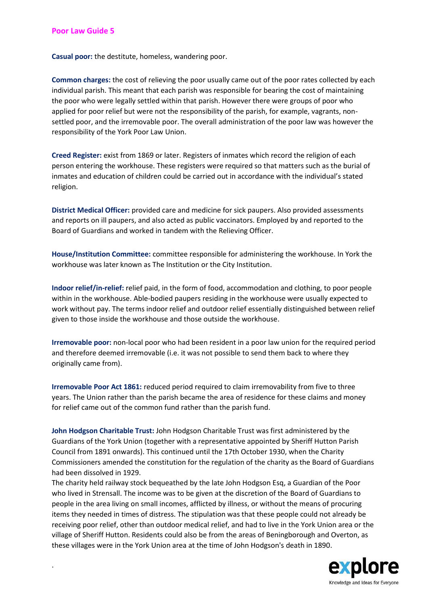.

**Casual poor:** the destitute, homeless, wandering poor.

**Common charges:** the cost of relieving the poor usually came out of the poor rates collected by each individual parish. This meant that each parish was responsible for bearing the cost of maintaining the poor who were legally settled within that parish. However there were groups of poor who applied for poor relief but were not the responsibility of the parish, for example, vagrants, nonsettled poor, and the irremovable poor. The overall administration of the poor law was however the responsibility of the York Poor Law Union.

**Creed Register:** exist from 1869 or later. Registers of inmates which record the religion of each person entering the workhouse. These registers were required so that matters such as the burial of inmates and education of children could be carried out in accordance with the individual's stated religion.

**District Medical Officer:** provided care and medicine for sick paupers. Also provided assessments and reports on ill paupers, and also acted as public vaccinators. Employed by and reported to the Board of Guardians and worked in tandem with the Relieving Officer.

**House/Institution Committee:** committee responsible for administering the workhouse. In York the workhouse was later known as The Institution or the City Institution.

**Indoor relief/in-relief:** relief paid, in the form of food, accommodation and clothing, to poor people within in the workhouse. Able-bodied paupers residing in the workhouse were usually expected to work without pay. The terms indoor relief and outdoor relief essentially distinguished between relief given to those inside the workhouse and those outside the workhouse.

**Irremovable poor:** non-local poor who had been resident in a poor law union for the required period and therefore deemed irremovable (i.e. it was not possible to send them back to where they originally came from).

**Irremovable Poor Act 1861:** reduced period required to claim irremovability from five to three years. The Union rather than the parish became the area of residence for these claims and money for relief came out of the common fund rather than the parish fund.

**John Hodgson Charitable Trust:** John Hodgson Charitable Trust was first administered by the Guardians of the York Union (together with a representative appointed by Sheriff Hutton Parish Council from 1891 onwards). This continued until the 17th October 1930, when the Charity Commissioners amended the constitution for the regulation of the charity as the Board of Guardians had been dissolved in 1929.

The charity held railway stock bequeathed by the late John Hodgson Esq, a Guardian of the Poor who lived in Strensall. The income was to be given at the discretion of the Board of Guardians to people in the area living on small incomes, afflicted by illness, or without the means of procuring items they needed in times of distress. The stipulation was that these people could not already be receiving poor relief, other than outdoor medical relief, and had to live in the York Union area or the village of Sheriff Hutton. Residents could also be from the areas of Beningborough and Overton, as these villages were in the York Union area at the time of John Hodgson's death in 1890.

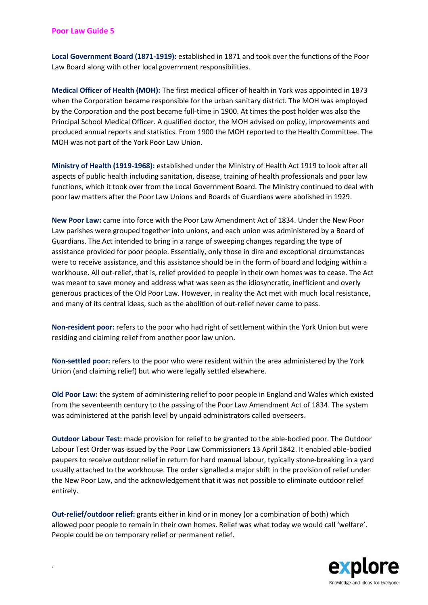.

**Local Government Board (1871-1919):** established in 1871 and took over the functions of the Poor Law Board along with other local government responsibilities.

**Medical Officer of Health (MOH):** The first medical officer of health in York was appointed in 1873 when the Corporation became responsible for the urban sanitary district. The MOH was employed by the Corporation and the post became full-time in 1900. At times the post holder was also the Principal School Medical Officer. A qualified doctor, the MOH advised on policy, improvements and produced annual reports and statistics. From 1900 the MOH reported to the Health Committee. The MOH was not part of the York Poor Law Union.

**Ministry of Health (1919-1968):** established under the Ministry of Health Act 1919 to look after all aspects of public health including sanitation, disease, training of health professionals and poor law functions, which it took over from the Local Government Board. The Ministry continued to deal with poor law matters after the Poor Law Unions and Boards of Guardians were abolished in 1929.

**New Poor Law:** came into force with the Poor Law Amendment Act of 1834. Under the New Poor Law parishes were grouped together into unions, and each union was administered by a Board of Guardians. The Act intended to bring in a range of sweeping changes regarding the type of assistance provided for poor people. Essentially, only those in dire and exceptional circumstances were to receive assistance, and this assistance should be in the form of board and lodging within a workhouse. All out-relief, that is, relief provided to people in their own homes was to cease. The Act was meant to save money and address what was seen as the idiosyncratic, inefficient and overly generous practices of the Old Poor Law. However, in reality the Act met with much local resistance, and many of its central ideas, such as the abolition of out-relief never came to pass.

**Non-resident poor:** refers to the poor who had right of settlement within the York Union but were residing and claiming relief from another poor law union.

**Non-settled poor:** refers to the poor who were resident within the area administered by the York Union (and claiming relief) but who were legally settled elsewhere.

**Old Poor Law:** the system of administering relief to poor people in England and Wales which existed from the seventeenth century to the passing of the Poor Law Amendment Act of 1834. The system was administered at the parish level by unpaid administrators called overseers.

**Outdoor Labour Test:** made provision for relief to be granted to the able-bodied poor. The Outdoor Labour Test Order was issued by the Poor Law Commissioners 13 April 1842. It enabled able-bodied paupers to receive outdoor relief in return for hard manual labour, typically stone-breaking in a yard usually attached to the workhouse. The order signalled a major shift in the provision of relief under the New Poor Law, and the acknowledgement that it was not possible to eliminate outdoor relief entirely.

**Out-relief/outdoor relief:** grants either in kind or in money (or a combination of both) which allowed poor people to remain in their own homes. Relief was what today we would call 'welfare'. People could be on temporary relief or permanent relief.

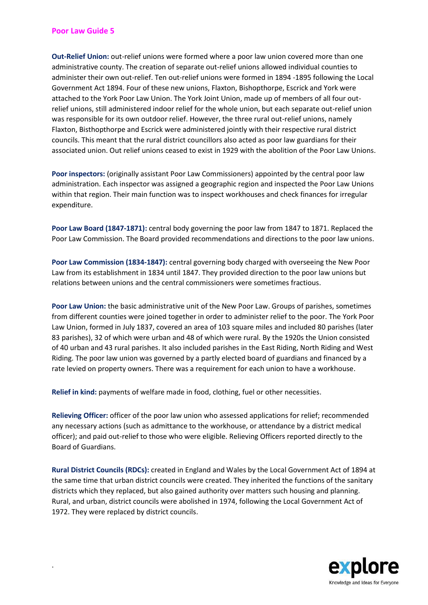.

**Out-Relief Union:** out-relief unions were formed where a poor law union covered more than one administrative county. The creation of separate out-relief unions allowed individual counties to administer their own out-relief. Ten out-relief unions were formed in 1894 -1895 following the Local Government Act 1894. Four of these new unions, Flaxton, Bishopthorpe, Escrick and York were attached to the York Poor Law Union. The York Joint Union, made up of members of all four outrelief unions, still administered indoor relief for the whole union, but each separate out-relief union was responsible for its own outdoor relief. However, the three rural out-relief unions, namely Flaxton, Bisthopthorpe and Escrick were administered jointly with their respective rural district councils. This meant that the rural district councillors also acted as poor law guardians for their associated union. Out relief unions ceased to exist in 1929 with the abolition of the Poor Law Unions.

**Poor inspectors:** (originally assistant Poor Law Commissioners) appointed by the central poor law administration. Each inspector was assigned a geographic region and inspected the Poor Law Unions within that region. Their main function was to inspect workhouses and check finances for irregular expenditure.

**Poor Law Board (1847-1871):** central body governing the poor law from 1847 to 1871. Replaced the Poor Law Commission. The Board provided recommendations and directions to the poor law unions.

**Poor Law Commission (1834-1847):** central governing body charged with overseeing the New Poor Law from its establishment in 1834 until 1847. They provided direction to the poor law unions but relations between unions and the central commissioners were sometimes fractious.

**Poor Law Union:** the basic administrative unit of the New Poor Law. Groups of parishes, sometimes from different counties were joined together in order to administer relief to the poor. The York Poor Law Union, formed in July 1837, covered an area of 103 square miles and included 80 parishes (later 83 parishes), 32 of which were urban and 48 of which were rural. By the 1920s the Union consisted of 40 urban and 43 rural parishes. It also included parishes in the East Riding, North Riding and West Riding. The poor law union was governed by a partly elected board of guardians and financed by a rate levied on property owners. There was a requirement for each union to have a workhouse.

**Relief in kind:** payments of welfare made in food, clothing, fuel or other necessities.

**Relieving Officer:** officer of the poor law union who assessed applications for relief; recommended any necessary actions (such as admittance to the workhouse, or attendance by a district medical officer); and paid out-relief to those who were eligible. Relieving Officers reported directly to the Board of Guardians.

**Rural District Councils (RDCs):** created in England and Wales by the Local Government Act of 1894 at the same time that urban district councils were created. They inherited the functions of the sanitary districts which they replaced, but also gained authority over matters such housing and planning. Rural, and urban, district councils were abolished in 1974, following the Local Government Act of 1972. They were replaced by district councils.